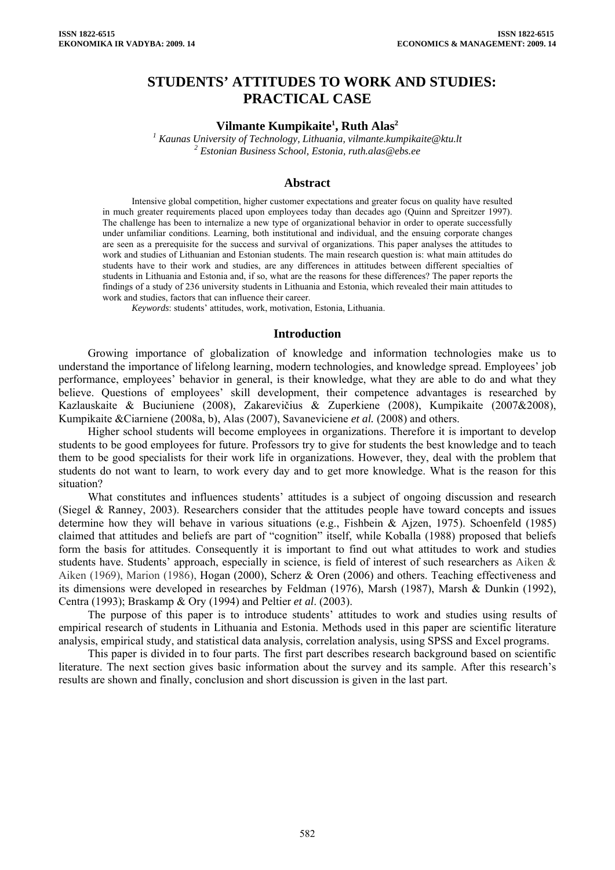# **STUDENTS' ATTITUDES TO WORK AND STUDIES: PRACTICAL CASE**

## **Vilmante Kumpikaite<sup>1</sup>, Ruth Alas<sup>2</sup>**

<sup>1</sup> Kaunas University of Technology, Lithuania, vilmante.kumpikaite@ktu.lt <sup>2</sup> Estonian Pusiness School. Estonia muth alge@chs.co  *Estonian Business School, Estonia, ruth.alas@ebs.ee* 

#### **Abstract**

Intensive global competition, higher customer expectations and greater focus on quality have resulted in much greater requirements placed upon employees today than decades ago (Quinn and Spreitzer 1997). The challenge has been to internalize a new type of organizational behavior in order to operate successfully under unfamiliar conditions. Learning, both institutional and individual, and the ensuing corporate changes are seen as a prerequisite for the success and survival of organizations. This paper analyses the attitudes to work and studies of Lithuanian and Estonian students. The main research question is: what main attitudes do students have to their work and studies, are any differences in attitudes between different specialties of students in Lithuania and Estonia and, if so, what are the reasons for these differences? The paper reports the findings of a study of 236 university students in Lithuania and Estonia, which revealed their main attitudes to work and studies, factors that can influence their career.

*Keywords*: students' attitudes, work, motivation, Estonia, Lithuania.

#### **Introduction**

Growing importance of globalization of knowledge and information technologies make us to understand the importance of lifelong learning, modern technologies, and knowledge spread. Employees' job performance, employees' behavior in general, is their knowledge, what they are able to do and what they believe. Questions of employees' skill development, their competence advantages is researched by Kazlauskaite & Buciuniene (2008), Zakarevi**č**ius & Zuperkiene (2008), Kumpikaite (2007&2008), Kumpikaite &Ciarniene (2008a, b), Alas (2007), Savaneviciene *et al.* (2008) and others.

Higher school students will become employees in organizations. Therefore it is important to develop students to be good employees for future. Professors try to give for students the best knowledge and to teach them to be good specialists for their work life in organizations. However, they, deal with the problem that students do not want to learn, to work every day and to get more knowledge. What is the reason for this situation?

What constitutes and influences students' attitudes is a subject of ongoing discussion and research (Siegel & Ranney, 2003). Researchers consider that the attitudes people have toward concepts and issues determine how they will behave in various situations (e.g., Fishbein & Ajzen, 1975). Schoenfeld (1985) claimed that attitudes and beliefs are part of "cognition" itself, while Koballa (1988) proposed that beliefs form the basis for attitudes. Consequently it is important to find out what attitudes to work and studies students have. Students' approach, especially in science, is field of interest of such researchers as Aiken & Aiken (1969), Marion (1986), Hogan (2000), Scherz & Oren (2006) and others. Teaching effectiveness and its dimensions were developed in researches by Feldman (1976), Marsh (1987), Marsh & Dunkin (1992), Centra (1993); Braskamp & Ory (1994) and Peltier *et al*. (2003).

The purpose of this paper is to introduce students' attitudes to work and studies using results of empirical research of students in Lithuania and Estonia. Methods used in this paper are scientific literature analysis, empirical study, and statistical data analysis, correlation analysis, using SPSS and Excel programs.

This paper is divided in to four parts. The first part describes research background based on scientific literature. The next section gives basic information about the survey and its sample. After this research's results are shown and finally, conclusion and short discussion is given in the last part.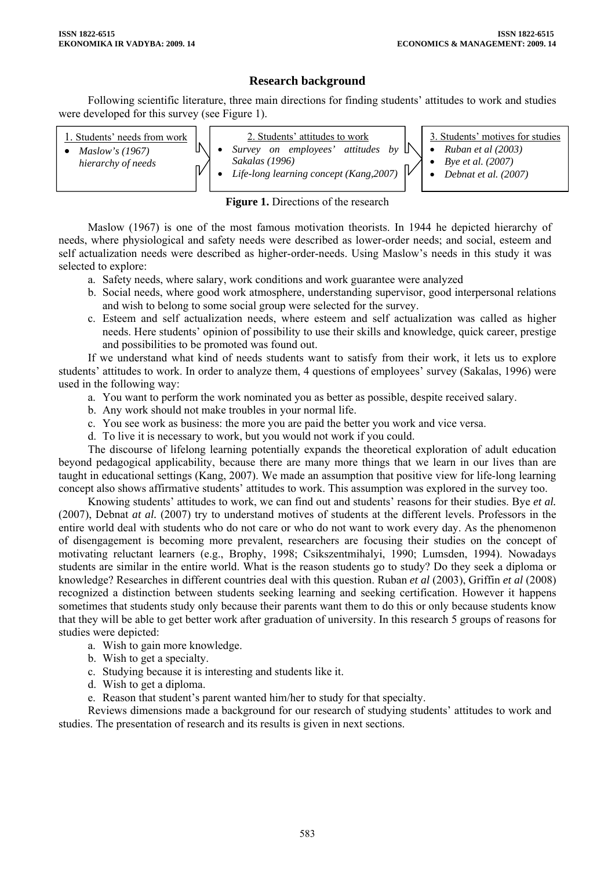## **Research background**

Following scientific literature, three main directions for finding students' attitudes to work and studies were developed for this survey (see Figure 1).

| Students' needs from work<br>Maslow's $(1967)$<br>hierarchy of needs | ъ | 2. Students' attitudes to work<br>Survey on employees' attitudes by $\mathbb{N}$<br>Sakalas (1996)<br>Life-long learning concept (Kang, 2007) | . IV | 3. Students' motives for studies<br>• Ruban et al $(2003)$<br><i>Bye et al.</i> (2007)<br>Debnat et al. (2007) |
|----------------------------------------------------------------------|---|-----------------------------------------------------------------------------------------------------------------------------------------------|------|----------------------------------------------------------------------------------------------------------------|
|----------------------------------------------------------------------|---|-----------------------------------------------------------------------------------------------------------------------------------------------|------|----------------------------------------------------------------------------------------------------------------|

## **Figure 1.** Directions of the research

Maslow (1967) is one of the most famous motivation theorists. In 1944 he depicted hierarchy of needs, where physiological and safety needs were described as lower-order needs; and social, esteem and self actualization needs were described as higher-order-needs. Using Maslow's needs in this study it was selected to explore:

- a. Safety needs, where salary, work conditions and work guarantee were analyzed
- b. Social needs, where good work atmosphere, understanding supervisor, good interpersonal relations and wish to belong to some social group were selected for the survey.
- c. Esteem and self actualization needs, where esteem and self actualization was called as higher needs. Here students' opinion of possibility to use their skills and knowledge, quick career, prestige and possibilities to be promoted was found out.

If we understand what kind of needs students want to satisfy from their work, it lets us to explore students' attitudes to work. In order to analyze them, 4 questions of employees' survey (Sakalas, 1996) were used in the following way:

- a. You want to perform the work nominated you as better as possible, despite received salary.
- b. Any work should not make troubles in your normal life.
- c. You see work as business: the more you are paid the better you work and vice versa.
- d. To live it is necessary to work, but you would not work if you could.

The discourse of lifelong learning potentially expands the theoretical exploration of adult education beyond pedagogical applicability, because there are many more things that we learn in our lives than are taught in educational settings (Kang, 2007). We made an assumption that positive view for life-long learning concept also shows affirmative students' attitudes to work. This assumption was explored in the survey too.

Knowing students' attitudes to work, we can find out and students' reasons for their studies. Bye *et al.* (2007), Debnat *at al.* (2007) try to understand motives of students at the different levels. Professors in the entire world deal with students who do not care or who do not want to work every day. As the phenomenon of disengagement is becoming more prevalent, researchers are focusing their studies on the concept of motivating reluctant learners (e.g., Brophy, 1998; Csikszentmihalyi, 1990; Lumsden, 1994). Nowadays students are similar in the entire world. What is the reason students go to study? Do they seek a diploma or knowledge? Researches in different countries deal with this question. Ruban *et al* (2003), Griffin *et al* (2008) recognized a distinction between students seeking learning and seeking certification. However it happens sometimes that students study only because their parents want them to do this or only because students know that they will be able to get better work after graduation of university. In this research 5 groups of reasons for studies were depicted:

- a. Wish to gain more knowledge.
- b. Wish to get a specialty.
- c. Studying because it is interesting and students like it.
- d. Wish to get a diploma.
- e. Reason that student's parent wanted him/her to study for that specialty.

Reviews dimensions made a background for our research of studying students' attitudes to work and studies. The presentation of research and its results is given in next sections.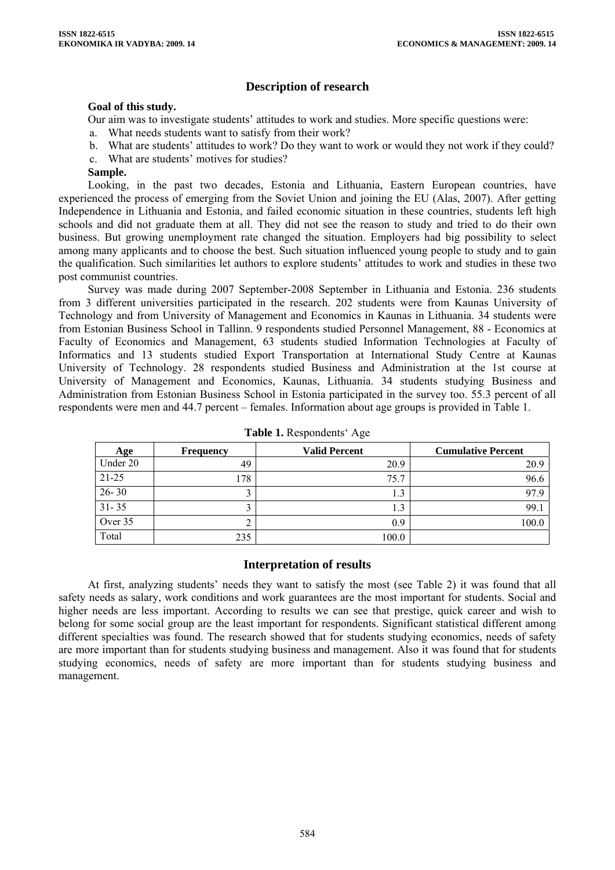## **Description of research**

### **Goal of this study.**

Our aim was to investigate students' attitudes to work and studies. More specific questions were:

- a. What needs students want to satisfy from their work?
- b. What are students' attitudes to work? Do they want to work or would they not work if they could?
- c. What are students' motives for studies?

### **Sample.**

Looking, in the past two decades, Estonia and Lithuania, Eastern European countries, have experienced the process of emerging from the Soviet Union and joining the EU (Alas, 2007). After getting Independence in Lithuania and Estonia, and failed economic situation in these countries, students left high schools and did not graduate them at all. They did not see the reason to study and tried to do their own business. But growing unemployment rate changed the situation. Employers had big possibility to select among many applicants and to choose the best. Such situation influenced young people to study and to gain the qualification. Such similarities let authors to explore students' attitudes to work and studies in these two post communist countries.

Survey was made during 2007 September-2008 September in Lithuania and Estonia. 236 students from 3 different universities participated in the research. 202 students were from Kaunas University of Technology and from University of Management and Economics in Kaunas in Lithuania. 34 students were from Estonian Business School in Tallinn. 9 respondents studied Personnel Management, 88 - Economics at Faculty of Economics and Management, 63 students studied Information Technologies at Faculty of Informatics and 13 students studied Export Transportation at International Study Centre at Kaunas University of Technology. 28 respondents studied Business and Administration at the 1st course at University of Management and Economics, Kaunas, Lithuania. 34 students studying Business and Administration from Estonian Business School in Estonia participated in the survey too. 55.3 percent of all respondents were men and 44.7 percent – females. Information about age groups is provided in Table 1.

| Age       | <b>Frequency</b> | <b>Valid Percent</b> | <b>Cumulative Percent</b> |
|-----------|------------------|----------------------|---------------------------|
| Under 20  | 49               | 20.9                 | 20.9                      |
| $21 - 25$ | l 78             | 75.7                 | 96.6                      |
| $26 - 30$ |                  | 1.3                  | 97.9                      |
| $31 - 35$ |                  | 1.3                  | 99.1                      |
| Over 35   |                  | 0.9                  | 100.0                     |
| Total     | 235              | 100.0                |                           |

**Table 1.** Respondents' Age

### **Interpretation of results**

At first, analyzing students' needs they want to satisfy the most (see Table 2) it was found that all safety needs as salary, work conditions and work guarantees are the most important for students. Social and higher needs are less important. According to results we can see that prestige, quick career and wish to belong for some social group are the least important for respondents. Significant statistical different among different specialties was found. The research showed that for students studying economics, needs of safety are more important than for students studying business and management. Also it was found that for students studying economics, needs of safety are more important than for students studying business and management.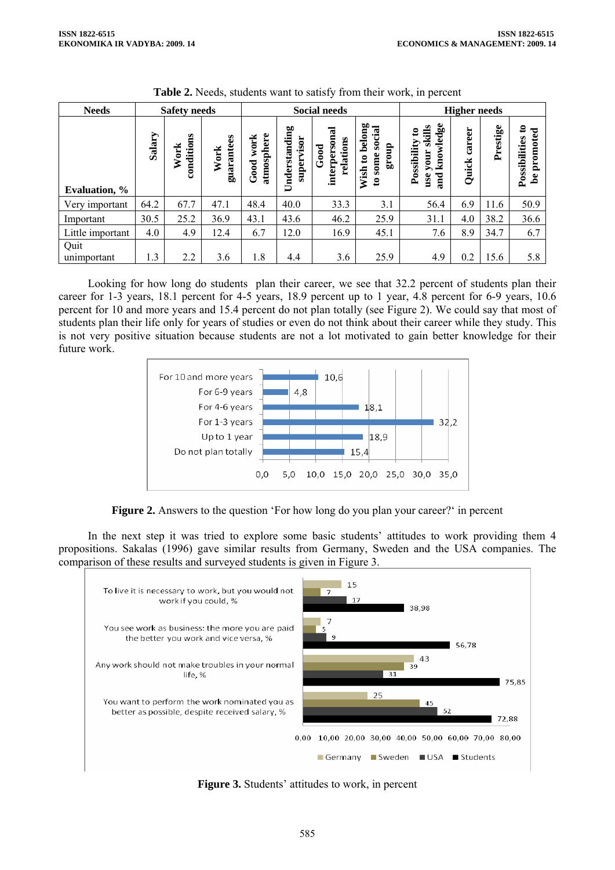| <b>Needs</b>          | <b>Safety needs</b> |                    |                    | <b>Social needs</b>        |                             |                                         |                                                                            | <b>Higher needs</b>                                                      |                 |          |                                                 |
|-----------------------|---------------------|--------------------|--------------------|----------------------------|-----------------------------|-----------------------------------------|----------------------------------------------------------------------------|--------------------------------------------------------------------------|-----------------|----------|-------------------------------------------------|
| <b>Evaluation</b> , % | Salary              | conditions<br>Work | guarantees<br>Work | atmosphere<br>work<br>Good | Understanding<br>supervisor | interpersonal<br>relations<br>$_{Good}$ | belong<br>social<br>dno.18<br>some<br>$\mathbf{c}$<br>Wish<br>$\mathbf{c}$ | knowledge<br>skills<br>$\mathbf{c}$<br>Possibility<br>your<br>use<br>and | career<br>Quick | Prestige | $\mathbf{c}$<br>promoted<br>Possibilities<br>۵e |
| Very important        | 64.2                | 67.7               | 47.1               | 48.4                       | 40.0                        | 33.3                                    | 3.1                                                                        | 56.4                                                                     | 6.9             | 11.6     | 50.9                                            |
| Important             | 30.5                | 25.2               | 36.9               | 43.1                       | 43.6                        | 46.2                                    | 25.9                                                                       | 31.1                                                                     | 4.0             | 38.2     | 36.6                                            |
| Little important      | 4.0                 | 4.9                | 12.4               | 6.7                        | 12.0                        | 16.9                                    | 45.1                                                                       | 7.6                                                                      | 8.9             | 34.7     | 6.7                                             |
| Quit<br>unimportant   | 1.3                 | 2.2                | 3.6                | 1.8                        | 4.4                         | 3.6                                     | 25.9                                                                       | 4.9                                                                      | 0.2             | 15.6     | 5.8                                             |

**Table 2.** Needs, students want to satisfy from their work, in percent

Looking for how long do students plan their career, we see that 32.2 percent of students plan their career for 1-3 years, 18.1 percent for 4-5 years, 18.9 percent up to 1 year, 4.8 percent for 6-9 years, 10.6 percent for 10 and more years and 15.4 percent do not plan totally (see Figure 2). We could say that most of students plan their life only for years of studies or even do not think about their career while they study. This is not very positive situation because students are not a lot motivated to gain better knowledge for their future work.



**Figure 2.** Answers to the question 'For how long do you plan your career?' in percent

In the next step it was tried to explore some basic students' attitudes to work providing them 4 propositions. Sakalas (1996) gave similar results from Germany, Sweden and the USA companies. The comparison of these results and surveyed students is given in Figure 3.



**Figure 3.** Students' attitudes to work, in percent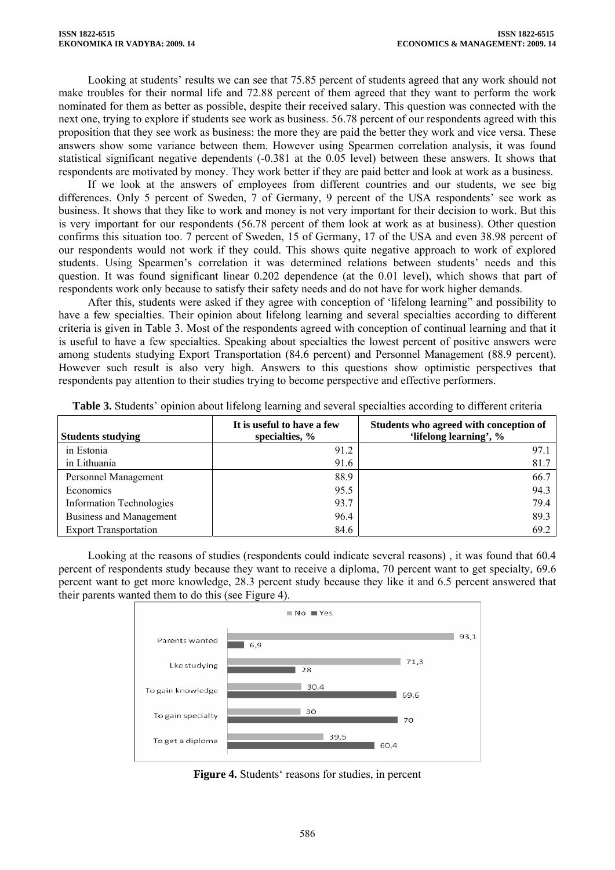Looking at students' results we can see that 75.85 percent of students agreed that any work should not make troubles for their normal life and 72.88 percent of them agreed that they want to perform the work nominated for them as better as possible, despite their received salary. This question was connected with the next one, trying to explore if students see work as business. 56.78 percent of our respondents agreed with this proposition that they see work as business: the more they are paid the better they work and vice versa. These answers show some variance between them. However using Spearmen correlation analysis, it was found statistical significant negative dependents (-0.381 at the 0.05 level) between these answers. It shows that respondents are motivated by money. They work better if they are paid better and look at work as a business.

If we look at the answers of employees from different countries and our students, we see big differences. Only 5 percent of Sweden, 7 of Germany, 9 percent of the USA respondents' see work as business. It shows that they like to work and money is not very important for their decision to work. But this is very important for our respondents (56.78 percent of them look at work as at business). Other question confirms this situation too. 7 percent of Sweden, 15 of Germany, 17 of the USA and even 38.98 percent of our respondents would not work if they could. This shows quite negative approach to work of explored students. Using Spearmen's correlation it was determined relations between students' needs and this question. It was found significant linear 0.202 dependence (at the 0.01 level), which shows that part of respondents work only because to satisfy their safety needs and do not have for work higher demands.

After this, students were asked if they agree with conception of 'lifelong learning" and possibility to have a few specialties. Their opinion about lifelong learning and several specialties according to different criteria is given in Table 3. Most of the respondents agreed with conception of continual learning and that it is useful to have a few specialties. Speaking about specialties the lowest percent of positive answers were among students studying Export Transportation (84.6 percent) and Personnel Management (88.9 percent). However such result is also very high. Answers to this questions show optimistic perspectives that respondents pay attention to their studies trying to become perspective and effective performers.

| <b>Students studying</b>        | It is useful to have a few<br>specialties, $\%$ | Students who agreed with conception of<br>'lifelong learning', % |
|---------------------------------|-------------------------------------------------|------------------------------------------------------------------|
| in Estonia                      | 91.2                                            | 97.1                                                             |
| in Lithuania                    | 91.6                                            | 81.7                                                             |
| Personnel Management            | 88.9                                            | 66.7                                                             |
| Economics                       | 95.5                                            | 94.3                                                             |
| <b>Information Technologies</b> | 93.7                                            | 79.4                                                             |
| Business and Management         | 96.4                                            | 89.3                                                             |
| <b>Export Transportation</b>    | 84.6                                            | 69.2                                                             |

**Table 3.** Students' opinion about lifelong learning and several specialties according to different criteria

Looking at the reasons of studies (respondents could indicate several reasons) , it was found that 60.4 percent of respondents study because they want to receive a diploma, 70 percent want to get specialty, 69.6 percent want to get more knowledge, 28.3 percent study because they like it and 6.5 percent answered that their parents wanted them to do this (see Figure 4).



**Figure 4.** Students' reasons for studies, in percent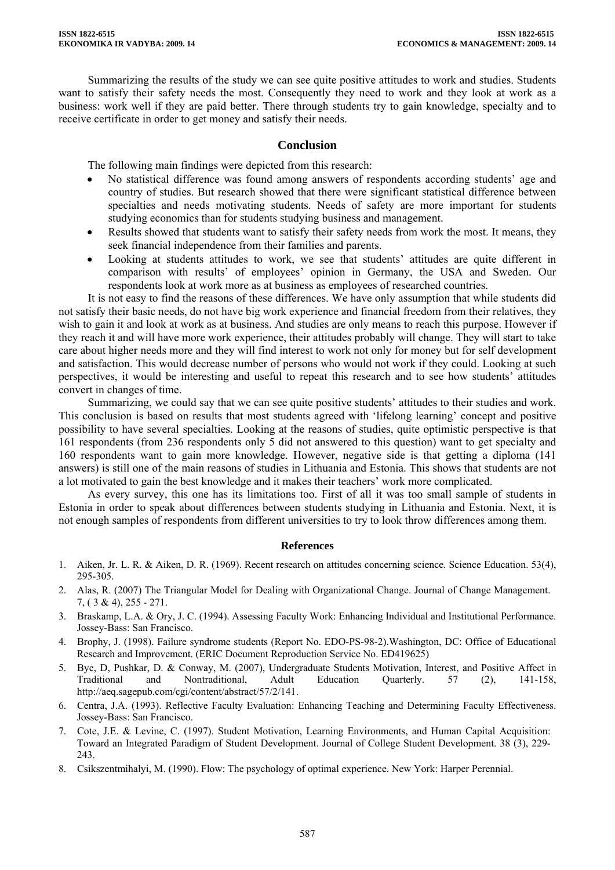Summarizing the results of the study we can see quite positive attitudes to work and studies. Students want to satisfy their safety needs the most. Consequently they need to work and they look at work as a business: work well if they are paid better. There through students try to gain knowledge, specialty and to receive certificate in order to get money and satisfy their needs.

## **Conclusion**

The following main findings were depicted from this research:

- No statistical difference was found among answers of respondents according students' age and country of studies. But research showed that there were significant statistical difference between specialties and needs motivating students. Needs of safety are more important for students studying economics than for students studying business and management.
- Results showed that students want to satisfy their safety needs from work the most. It means, they seek financial independence from their families and parents.
- Looking at students attitudes to work, we see that students' attitudes are quite different in comparison with results' of employees' opinion in Germany, the USA and Sweden. Our respondents look at work more as at business as employees of researched countries.

It is not easy to find the reasons of these differences. We have only assumption that while students did not satisfy their basic needs, do not have big work experience and financial freedom from their relatives, they wish to gain it and look at work as at business. And studies are only means to reach this purpose. However if they reach it and will have more work experience, their attitudes probably will change. They will start to take care about higher needs more and they will find interest to work not only for money but for self development and satisfaction. This would decrease number of persons who would not work if they could. Looking at such perspectives, it would be interesting and useful to repeat this research and to see how students' attitudes convert in changes of time.

Summarizing, we could say that we can see quite positive students' attitudes to their studies and work. This conclusion is based on results that most students agreed with 'lifelong learning' concept and positive possibility to have several specialties. Looking at the reasons of studies, quite optimistic perspective is that 161 respondents (from 236 respondents only 5 did not answered to this question) want to get specialty and 160 respondents want to gain more knowledge. However, negative side is that getting a diploma (141 answers) is still one of the main reasons of studies in Lithuania and Estonia. This shows that students are not a lot motivated to gain the best knowledge and it makes their teachers' work more complicated.

As every survey, this one has its limitations too. First of all it was too small sample of students in Estonia in order to speak about differences between students studying in Lithuania and Estonia. Next, it is not enough samples of respondents from different universities to try to look throw differences among them.

### **References**

- 1. Aiken, Jr. L. R. & Aiken, D. R. (1969). Recent research on attitudes concerning science. Science Education. 53(4), 295-305.
- 2. Alas, R. (2007) The Triangular Model for Dealing with Organizational Change. Journal of Change Management. 7, ( 3 & 4), 255 - 271.
- 3. Braskamp, L.A. & Ory, J. C. (1994). Assessing Faculty Work: Enhancing Individual and Institutional Performance. Jossey-Bass: San Francisco.
- 4. Brophy, J. (1998). Failure syndrome students (Report No. EDO-PS-98-2).Washington, DC: Office of Educational Research and Improvement. (ERIC Document Reproduction Service No. ED419625)
- 5. Bye, D, Pushkar, D. & Conway, M. (2007), Undergraduate Students Motivation, Interest, and Positive Affect in Traditional and Nontraditional. Adult Education Ouarterly. 57 (2), 141-158, and Nontraditional, Adult Education Quarterly. 57 (2), 141-158, [http://aeq.sagepub.com/cgi/content/abstract/57/2/141.](http://aeq.sagepub.com/cgi/content/abstract/57/2/141)
- 6. Centra, J.A. (1993). Reflective Faculty Evaluation: Enhancing Teaching and Determining Faculty Effectiveness. Jossey-Bass: San Francisco.
- 7. Cote, J.E. & Levine, C. (1997). Student Motivation, Learning Environments, and Human Capital Acquisition: Toward an Integrated Paradigm of Student Development. Journal of College Student Development. 38 (3), 229- 243.
- 8. Csikszentmihalyi, M. (1990). Flow: The psychology of optimal experience. New York: Harper Perennial.